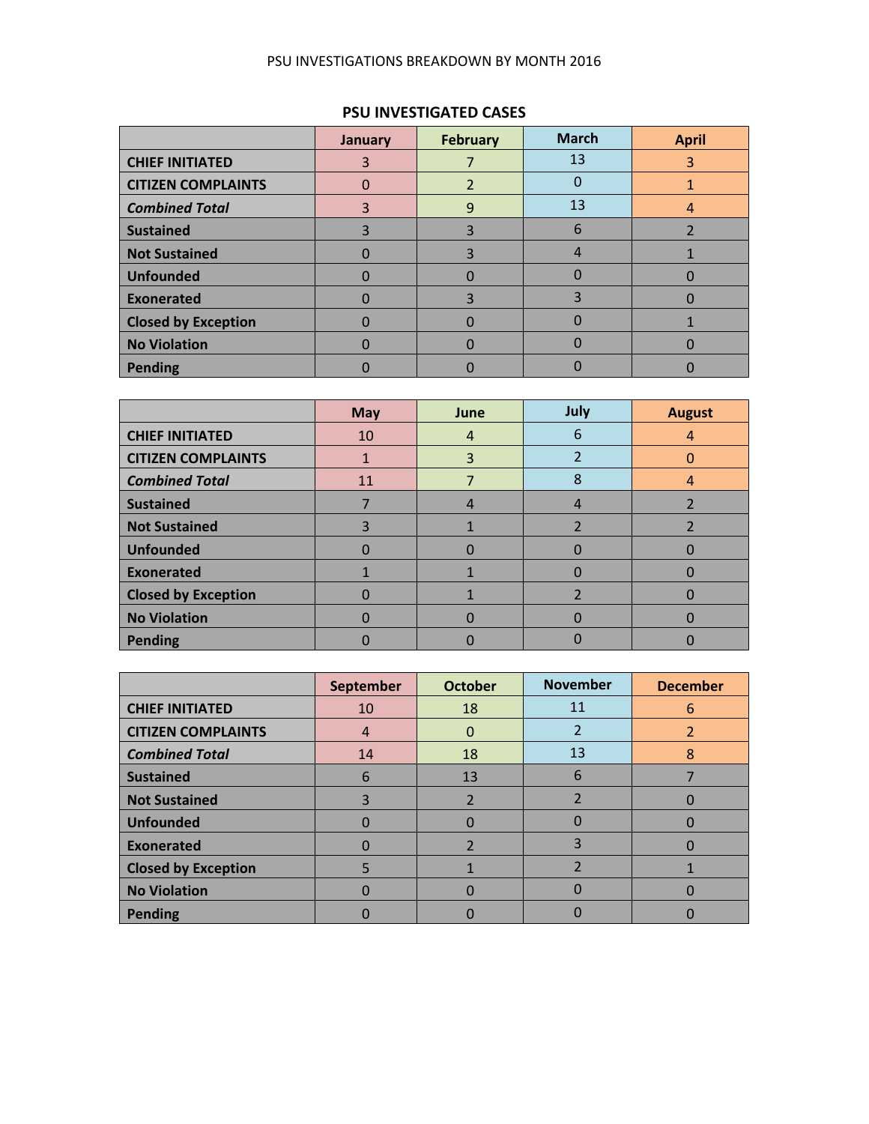#### PSU INVESTIGATIONS BREAKDOWN BY MONTH 2016

### **PSU INVESTIGATED CASES**

|                            | January | <b>February</b> | <b>March</b> | <b>April</b> |
|----------------------------|---------|-----------------|--------------|--------------|
| <b>CHIEF INITIATED</b>     |         |                 | 13           | 3            |
| <b>CITIZEN COMPLAINTS</b>  |         |                 |              |              |
| <b>Combined Total</b>      |         | 9               | 13           |              |
| <b>Sustained</b>           |         |                 | 6            |              |
| <b>Not Sustained</b>       |         | 3               |              |              |
| <b>Unfounded</b>           |         |                 |              |              |
| Exonerated                 |         | ₹               | 3            |              |
| <b>Closed by Exception</b> |         |                 |              |              |
| No Violation               |         |                 |              |              |
| Pending                    |         |                 |              |              |

|                            | <b>May</b> | June | July           | <b>August</b> |
|----------------------------|------------|------|----------------|---------------|
| <b>CHIEF INITIATED</b>     | 10         | 4    | 6              | 4             |
| <b>CITIZEN COMPLAINTS</b>  |            | 3    |                |               |
| <b>Combined Total</b>      | 11         |      | 8              | 4             |
| <b>Sustained</b>           |            | 4    | 4              |               |
| <b>Not Sustained</b>       | 3          |      |                |               |
| <b>Unfounded</b>           | 0          |      |                |               |
| <b>Exonerated</b>          |            |      |                |               |
| <b>Closed by Exception</b> | O          |      | $\overline{2}$ |               |
| <b>No Violation</b>        | O          |      |                |               |
| <b>Pending</b>             |            |      |                |               |

|                            | September | <b>October</b> | <b>November</b>          | <b>December</b> |
|----------------------------|-----------|----------------|--------------------------|-----------------|
| <b>CHIEF INITIATED</b>     | 10        | 18             | 11                       | 6               |
| <b>CITIZEN COMPLAINTS</b>  | 4         | 0              | $\mathcal{P}$            |                 |
| <b>Combined Total</b>      | 14        | 18             | 13                       | 8               |
| <b>Sustained</b>           | 6         | 13             | 6                        |                 |
| <b>Not Sustained</b>       | 3         | 2              | $\overline{\phantom{a}}$ |                 |
| <b>Unfounded</b>           | O         |                |                          |                 |
| <b>Exonerated</b>          |           | $\overline{2}$ | 3                        |                 |
| <b>Closed by Exception</b> |           |                | າ                        |                 |
| <b>No Violation</b>        |           |                |                          |                 |
| <b>Pending</b>             |           |                |                          |                 |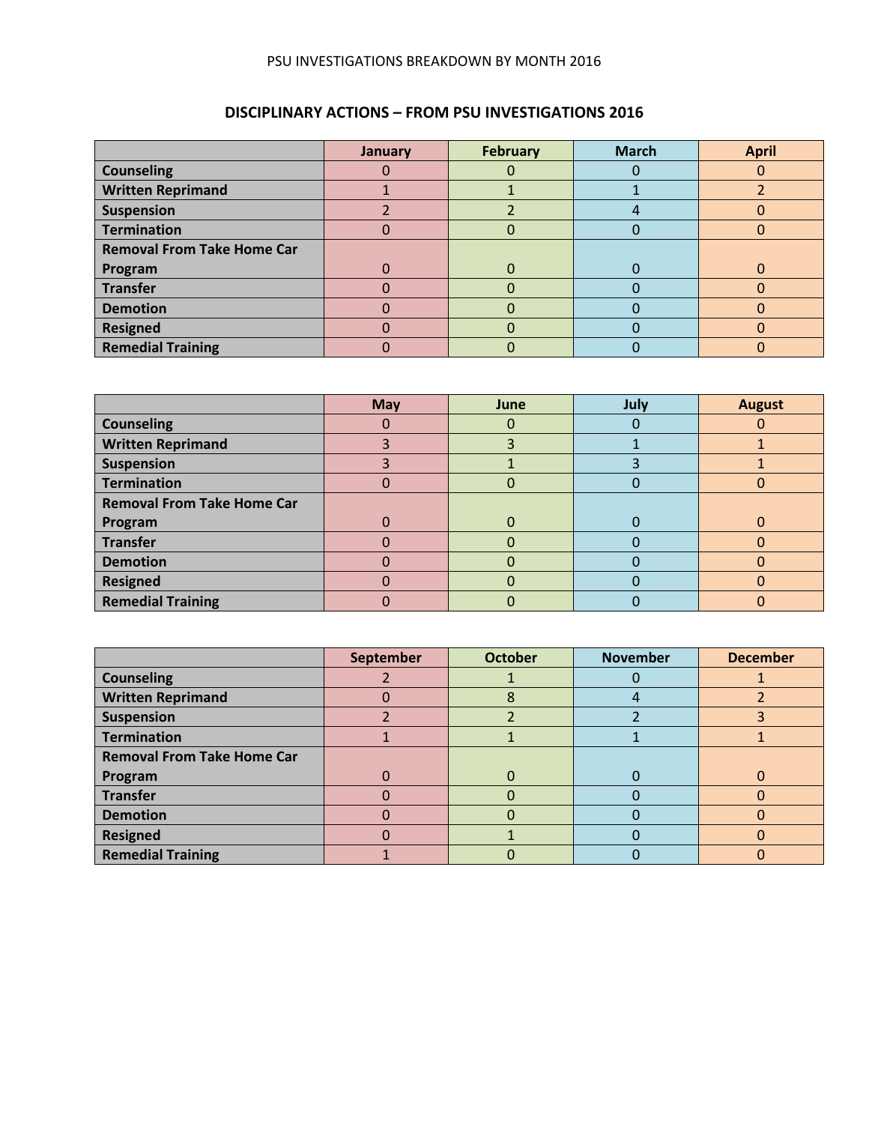#### PSU INVESTIGATIONS BREAKDOWN BY MONTH 2016

## **DISCIPLINARY ACTIONS – FROM PSU INVESTIGATIONS 2016**

|                                   | January | <b>February</b> | <b>March</b> | <b>April</b> |
|-----------------------------------|---------|-----------------|--------------|--------------|
| <b>Counseling</b>                 |         |                 |              |              |
| <b>Written Reprimand</b>          |         |                 |              |              |
| <b>Suspension</b>                 |         |                 |              |              |
| <b>Termination</b>                |         |                 |              |              |
| <b>Removal From Take Home Car</b> |         |                 |              |              |
| Program                           |         | 0               |              |              |
| <b>Transfer</b>                   |         |                 |              |              |
| <b>Demotion</b>                   |         |                 |              |              |
| <b>Resigned</b>                   |         |                 |              |              |
| <b>Remedial Training</b>          |         |                 |              |              |

|                                   | <b>May</b> | June     | July | <b>August</b> |
|-----------------------------------|------------|----------|------|---------------|
| <b>Counseling</b>                 |            | 0        |      |               |
| <b>Written Reprimand</b>          |            |          |      |               |
| <b>Suspension</b>                 |            |          |      |               |
| <b>Termination</b>                |            | 0        |      |               |
| <b>Removal From Take Home Car</b> |            |          |      |               |
| Program                           |            | $\Omega$ |      |               |
| <b>Transfer</b>                   |            | O        |      |               |
| <b>Demotion</b>                   |            |          |      |               |
| <b>Resigned</b>                   |            | 0        |      | O             |
| <b>Remedial Training</b>          |            | 0        |      |               |

|                                   | September | <b>October</b> | <b>November</b> | <b>December</b> |
|-----------------------------------|-----------|----------------|-----------------|-----------------|
| <b>Counseling</b>                 |           |                |                 |                 |
| <b>Written Reprimand</b>          |           | 8              |                 |                 |
| <b>Suspension</b>                 |           |                |                 |                 |
| <b>Termination</b>                |           |                |                 |                 |
| <b>Removal From Take Home Car</b> |           |                |                 |                 |
| Program                           |           | $\Omega$       |                 |                 |
| <b>Transfer</b>                   |           |                |                 |                 |
| <b>Demotion</b>                   |           | 0              |                 | O               |
| <b>Resigned</b>                   |           |                |                 |                 |
| <b>Remedial Training</b>          |           |                |                 |                 |